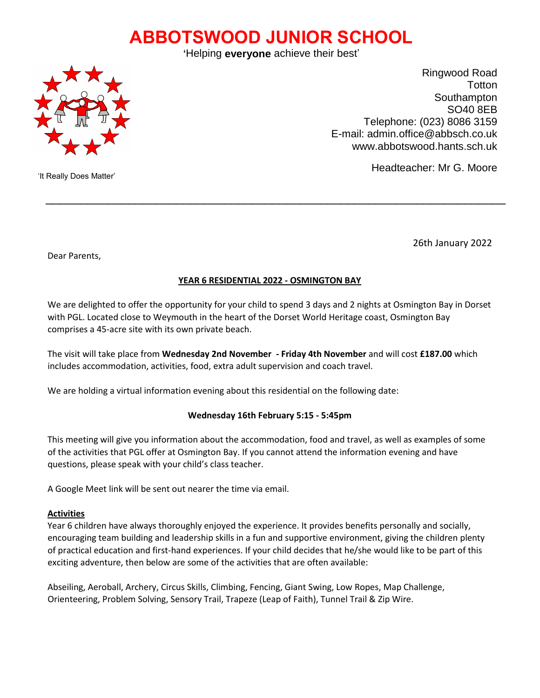# **ABBOTSWOOD JUNIOR SCHOOL**

'Helping **everyone** achieve their best'



Ringwood Road **Totton** Southampton SO40 8EB Telephone: (023) 8086 3159 E-mail: admin.office@abbsch.co.uk www.abbotswood.hants.sch.uk

Headteacher: Mr G. Moore

'It Really Does Matter'

26th January 2022

Dear Parents,

# **YEAR 6 RESIDENTIAL 2022 - OSMINGTON BAY**

 $\mathcal{L}_\text{max}$  , and the contribution of the contribution of the contribution of the contribution of the contribution of the contribution of the contribution of the contribution of the contribution of the contribution of t

We are delighted to offer the opportunity for your child to spend 3 days and 2 nights at Osmington Bay in Dorset with PGL. Located close to Weymouth in the heart of the Dorset World Heritage coast, Osmington Bay comprises a 45-acre site with its own private beach.

The visit will take place from **Wednesday 2nd November - Friday 4th November** and will cost **£187.00** which includes accommodation, activities, food, extra adult supervision and coach travel.

We are holding a virtual information evening about this residential on the following date:

## **Wednesday 16th February 5:15 - 5:45pm**

This meeting will give you information about the accommodation, food and travel, as well as examples of some of the activities that PGL offer at Osmington Bay. If you cannot attend the information evening and have questions, please speak with your child's class teacher.

A Google Meet link will be sent out nearer the time via email.

#### **Activities**

Year 6 children have always thoroughly enjoyed the experience. It provides benefits personally and socially, encouraging team building and leadership skills in a fun and supportive environment, giving the children plenty of practical education and first-hand experiences. If your child decides that he/she would like to be part of this exciting adventure, then below are some of the activities that are often available:

Abseiling, Aeroball, Archery, Circus Skills, Climbing, Fencing, Giant Swing, Low Ropes, Map Challenge, Orienteering, Problem Solving, Sensory Trail, Trapeze (Leap of Faith), Tunnel Trail & Zip Wire.